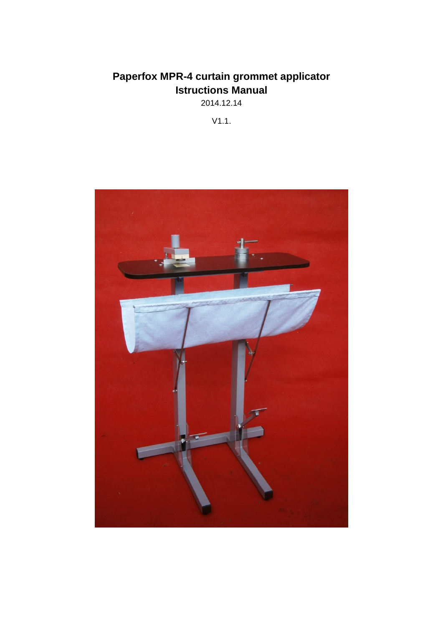2014.12.14

V1.1.

<span id="page-0-1"></span><span id="page-0-0"></span>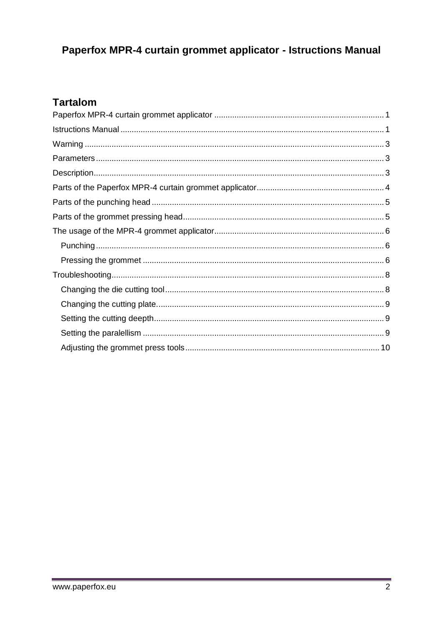## **Tartalom**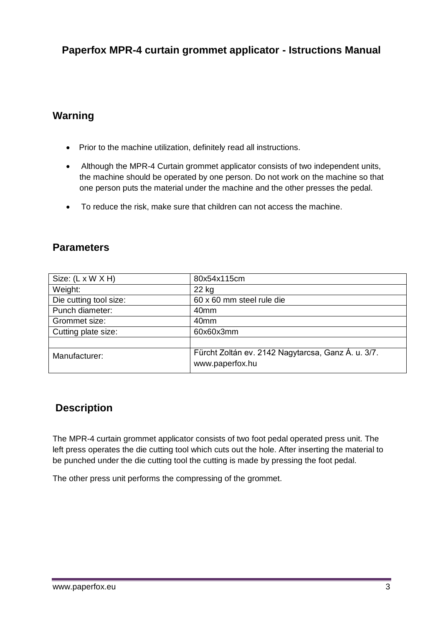## <span id="page-2-0"></span>**Warning**

- Prior to the machine utilization, definitely read all instructions.
- Although the MPR-4 Curtain grommet applicator consists of two independent units, the machine should be operated by one person. Do not work on the machine so that one person puts the material under the machine and the other presses the pedal.
- To reduce the risk, make sure that children can not access the machine.

## <span id="page-2-1"></span>**Parameters**

| Size: $(L \times W \times H)$ | 80x54x115cm                                                           |
|-------------------------------|-----------------------------------------------------------------------|
| Weight:                       | 22 kg                                                                 |
| Die cutting tool size:        | 60 x 60 mm steel rule die                                             |
| Punch diameter:               | 40 <sub>mm</sub>                                                      |
| Grommet size:                 | 40 <sub>mm</sub>                                                      |
| Cutting plate size:           | 60x60x3mm                                                             |
|                               |                                                                       |
| Manufacturer:                 | Fürcht Zoltán ev. 2142 Nagytarcsa, Ganz Á. u. 3/7.<br>www.paperfox.hu |

### <span id="page-2-2"></span>**Description**

The MPR-4 curtain grommet applicator consists of two foot pedal operated press unit. The left press operates the die cutting tool which cuts out the hole. After inserting the material to be punched under the die cutting tool the cutting is made by pressing the foot pedal.

The other press unit performs the compressing of the grommet.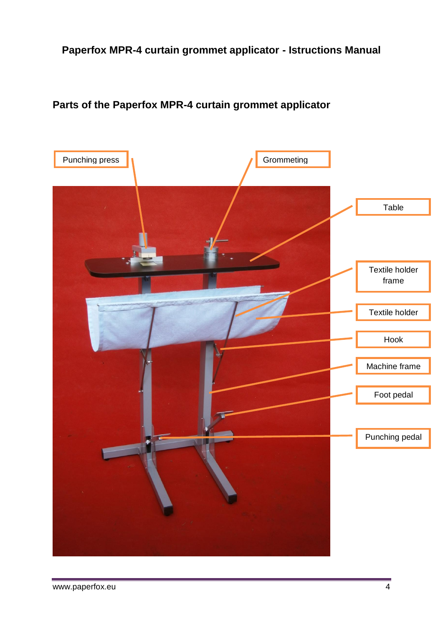## <span id="page-3-0"></span>**Parts of the Paperfox MPR-4 curtain grommet applicator**

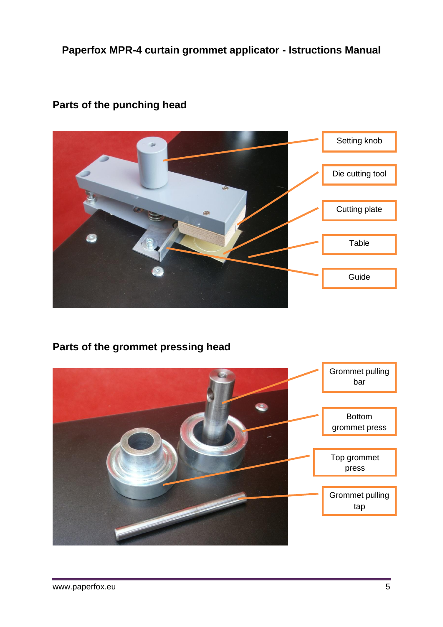

## <span id="page-4-0"></span>**Parts of the punching head**

## <span id="page-4-1"></span>**Parts of the grommet pressing head**

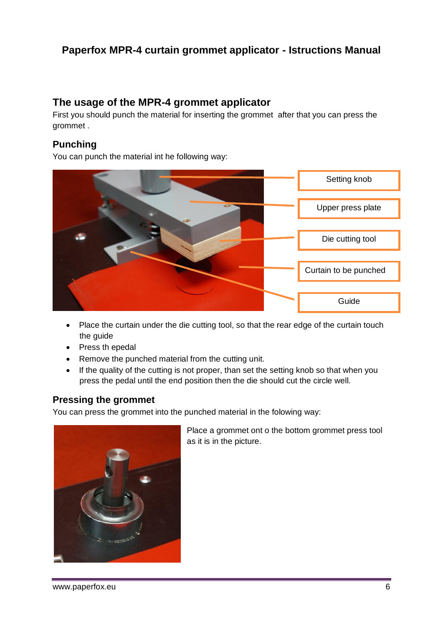## <span id="page-5-0"></span>**The usage of the MPR-4 grommet applicator**

First you should punch the material for inserting the grommet after that you can press the grommet .

#### <span id="page-5-1"></span>**Punching**

You can punch the material int he following way:



- Place the curtain under the die cutting tool, so that the rear edge of the curtain touch the guide
- Press th epedal
- Remove the punched material from the cutting unit.
- If the quality of the cutting is not proper, than set the setting knob so that when you press the pedal until the end position then the die should cut the circle well.

### <span id="page-5-2"></span>**Pressing the grommet**

You can press the grommet into the punched material in the folowing way:



Place a grommet ont o the bottom grommet press tool as it is in the picture.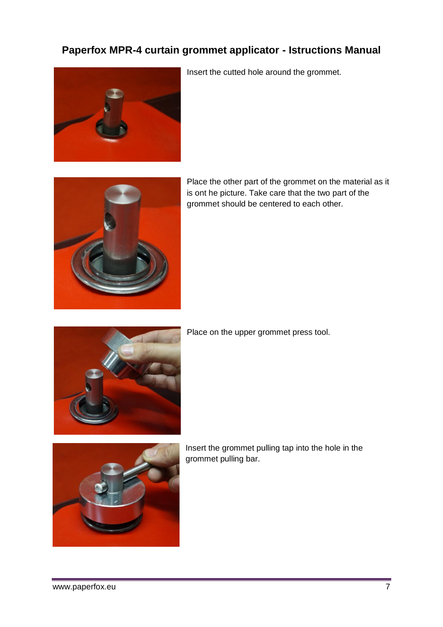

Insert the cutted hole around the grommet.



Place the other part of the grommet on the material as it is ont he picture. Take care that the two part of the grommet should be centered to each other.



Place on the upper grommet press tool.



Insert the grommet pulling tap into the hole in the grommet pulling bar.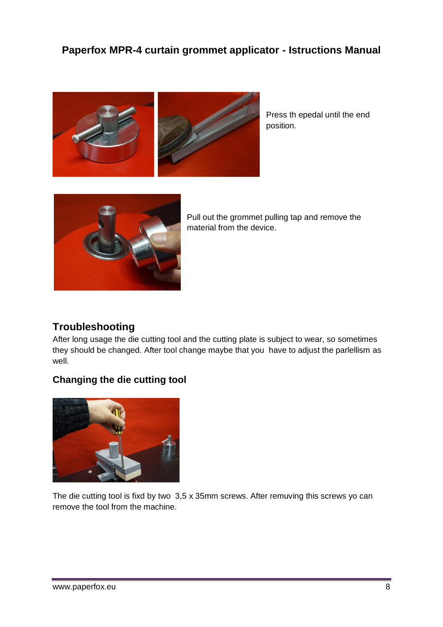

Press th epedal until the end position.



Pull out the grommet pulling tap and remove the material from the device.

## <span id="page-7-0"></span>**Troubleshooting**

After long usage the die cutting tool and the cutting plate is subject to wear, so sometimes they should be changed. After tool change maybe that you have to adjust the parlellism as well.

### <span id="page-7-1"></span>**Changing the die cutting tool**



The die cutting tool is fixd by two 3,5 x 35mm screws. After remuving this screws yo can remove the tool from the machine.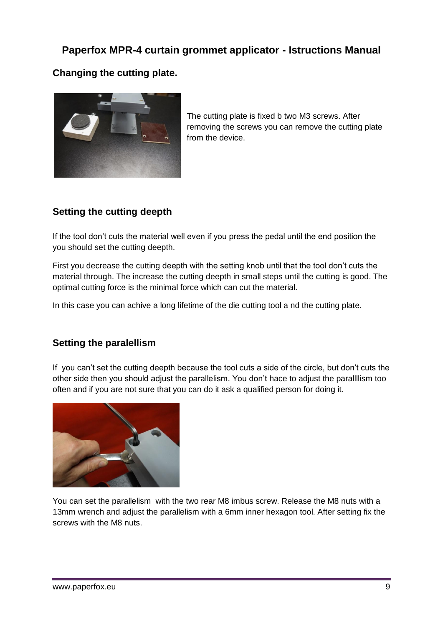## <span id="page-8-0"></span>**Changing the cutting plate.**



The cutting plate is fixed b two M3 screws. After removing the screws you can remove the cutting plate from the device.

## <span id="page-8-1"></span>**Setting the cutting deepth**

If the tool don't cuts the material well even if you press the pedal until the end position the you should set the cutting deepth.

First you decrease the cutting deepth with the setting knob until that the tool don't cuts the material through. The increase the cutting deepth in small steps until the cutting is good. The optimal cutting force is the minimal force which can cut the material.

In this case you can achive a long lifetime of the die cutting tool a nd the cutting plate.

### <span id="page-8-2"></span>**Setting the paralellism**

If you can't set the cutting deepth because the tool cuts a side of the circle, but don't cuts the other side then you should adjust the parallelism. You don't hace to adjust the parallllism too often and if you are not sure that you can do it ask a qualified person for doing it.



You can set the parallelism with the two rear M8 imbus screw. Release the M8 nuts with a 13mm wrench and adjust the parallelism with a 6mm inner hexagon tool. After setting fix the screws with the M8 nuts.